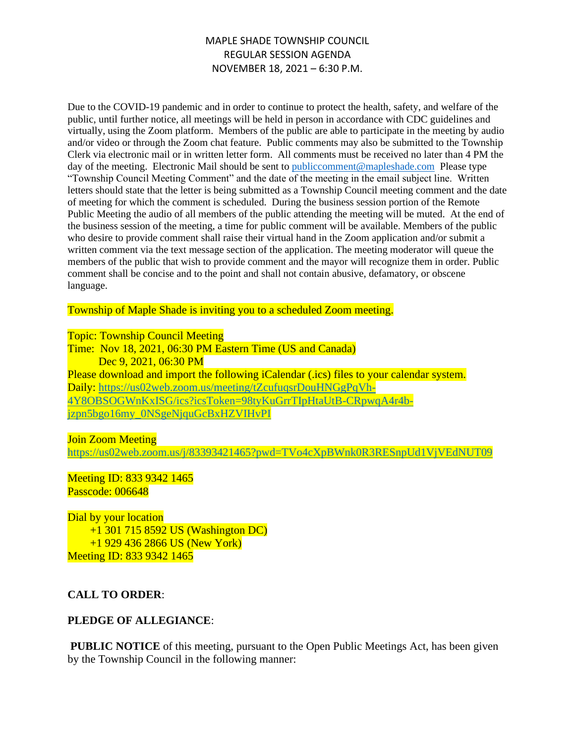# MAPLE SHADE TOWNSHIP COUNCIL REGULAR SESSION AGENDA NOVEMBER 18, 2021 – 6:30 P.M.

Due to the COVID-19 pandemic and in order to continue to protect the health, safety, and welfare of the public, until further notice, all meetings will be held in person in accordance with CDC guidelines and virtually, using the Zoom platform. Members of the public are able to participate in the meeting by audio and/or video or through the Zoom chat feature. Public comments may also be submitted to the Township Clerk via electronic mail or in written letter form. All comments must be received no later than 4 PM the day of the meeting. Electronic Mail should be sent to public comment@mapleshade.com Please type "Township Council Meeting Comment" and the date of the meeting in the email subject line. Written letters should state that the letter is being submitted as a Township Council meeting comment and the date of meeting for which the comment is scheduled. During the business session portion of the Remote Public Meeting the audio of all members of the public attending the meeting will be muted. At the end of the business session of the meeting, a time for public comment will be available. Members of the public who desire to provide comment shall raise their virtual hand in the Zoom application and/or submit a written comment via the text message section of the application. The meeting moderator will queue the members of the public that wish to provide comment and the mayor will recognize them in order. Public comment shall be concise and to the point and shall not contain abusive, defamatory, or obscene language.

Township of Maple Shade is inviting you to a scheduled Zoom meeting.

#### Topic: Township Council Meeting

Time: Nov 18, 2021, 06:30 PM Eastern Time (US and Canada) Dec 9, 2021, 06:30 PM Please download and import the following iCalendar (.ics) files to your calendar system. Daily: [https://us02web.zoom.us/meeting/tZcufuqsrDouHNGgPqVh-](https://us02web.zoom.us/meeting/tZcufuqsrDouHNGgPqVh-4Y8OBSOGWnKxISG/ics?icsToken=98tyKuGrrTIpHtaUtB-CRpwqA4r4b-jzpn5bgo16my_0NSgeNjquGcBxHZVIHvPI)[4Y8OBSOGWnKxISG/ics?icsToken=98tyKuGrrTIpHtaUtB-CRpwqA4r4b](https://us02web.zoom.us/meeting/tZcufuqsrDouHNGgPqVh-4Y8OBSOGWnKxISG/ics?icsToken=98tyKuGrrTIpHtaUtB-CRpwqA4r4b-jzpn5bgo16my_0NSgeNjquGcBxHZVIHvPI)[jzpn5bgo16my\\_0NSgeNjquGcBxHZVIHvPI](https://us02web.zoom.us/meeting/tZcufuqsrDouHNGgPqVh-4Y8OBSOGWnKxISG/ics?icsToken=98tyKuGrrTIpHtaUtB-CRpwqA4r4b-jzpn5bgo16my_0NSgeNjquGcBxHZVIHvPI)

#### **Join Zoom Meeting**

<https://us02web.zoom.us/j/83393421465?pwd=TVo4cXpBWnk0R3RESnpUd1VjVEdNUT09>

#### Meeting ID: 833 9342 1465 Passcode: 006648

Dial by your location +1 301 715 8592 US (Washington DC) +1 929 436 2866 US (New York) Meeting ID: 833 9342 1465

# **CALL TO ORDER**:

#### **PLEDGE OF ALLEGIANCE**:

**PUBLIC NOTICE** of this meeting, pursuant to the Open Public Meetings Act, has been given by the Township Council in the following manner: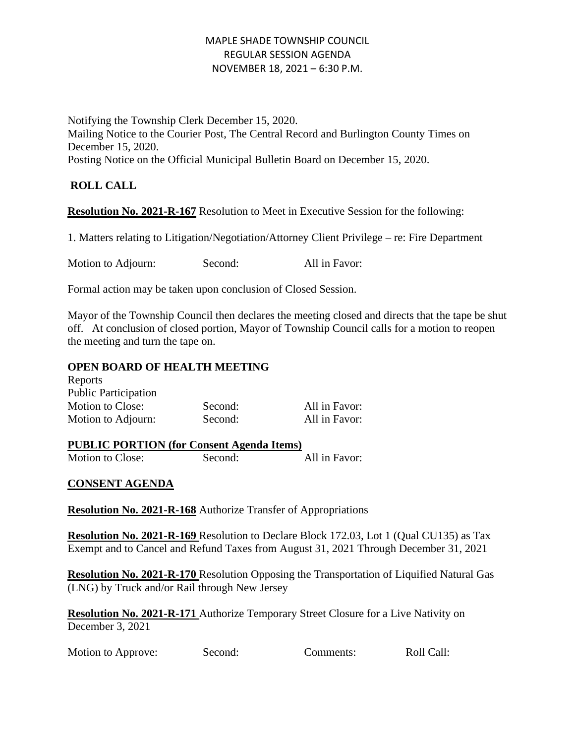# MAPLE SHADE TOWNSHIP COUNCIL REGULAR SESSION AGENDA NOVEMBER 18, 2021 – 6:30 P.M.

Notifying the Township Clerk December 15, 2020. Mailing Notice to the Courier Post, The Central Record and Burlington County Times on December 15, 2020. Posting Notice on the Official Municipal Bulletin Board on December 15, 2020.

# **ROLL CALL**

**Resolution No. 2021-R-167** Resolution to Meet in Executive Session for the following:

1. Matters relating to Litigation/Negotiation/Attorney Client Privilege – re: Fire Department

Motion to Adjourn: Second: All in Favor:

Formal action may be taken upon conclusion of Closed Session.

Mayor of the Township Council then declares the meeting closed and directs that the tape be shut off. At conclusion of closed portion, Mayor of Township Council calls for a motion to reopen the meeting and turn the tape on.

#### **OPEN BOARD OF HEALTH MEETING**

| Reports                     |         |               |
|-----------------------------|---------|---------------|
| <b>Public Participation</b> |         |               |
| Motion to Close:            | Second: | All in Favor: |
| Motion to Adjourn:          | Second: | All in Favor: |

#### **PUBLIC PORTION (for Consent Agenda Items)** Motion to Close: Second: All in Favor:

# **CONSENT AGENDA**

**Resolution No. 2021-R-168** Authorize Transfer of Appropriations

**Resolution No. 2021-R-169** Resolution to Declare Block 172.03, Lot 1 (Qual CU135) as Tax Exempt and to Cancel and Refund Taxes from August 31, 2021 Through December 31, 2021

**Resolution No. 2021-R-170** Resolution Opposing the Transportation of Liquified Natural Gas (LNG) by Truck and/or Rail through New Jersey

**Resolution No. 2021-R-171** Authorize Temporary Street Closure for a Live Nativity on December 3, 2021

|  | <b>Motion to Approve:</b> | Second: | Comments: | Roll Call: |
|--|---------------------------|---------|-----------|------------|
|--|---------------------------|---------|-----------|------------|